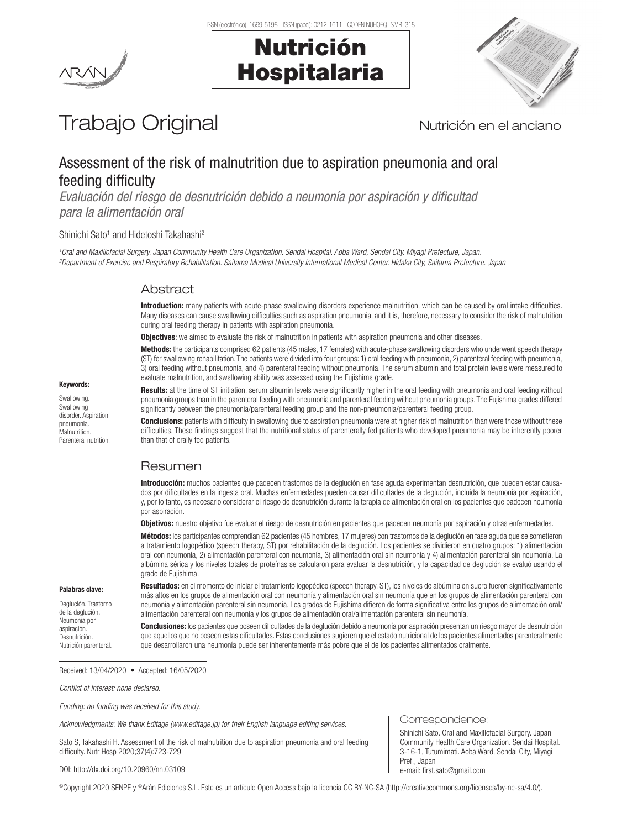Nutrición

Hospitalaria



# Trabajo Original Nutrición en el anciano

# Assessment of the risk of malnutrition due to aspiration pneumonia and oral feeding difficulty

*Evaluación del riesgo de desnutrición debido a neumonía por aspiración y dificultad para la alimentación oral*

#### Shinichi Sato<sup>1</sup> and Hidetoshi Takahashi<sup>2</sup>

*1 Oral and Maxillofacial Surgery. Japan Community Health Care Organization. Sendai Hospital. Aoba Ward, Sendai City. Miyagi Prefecture, Japan. 2 Department of Exercise and Respiratory Rehabilitation. Saitama Medical University International Medical Center. Hidaka City, Saitama Prefecture. Japan*

# Abstract

Introduction: many patients with acute-phase swallowing disorders experience malnutrition, which can be caused by oral intake difficulties. Many diseases can cause swallowing difficulties such as aspiration pneumonia, and it is, therefore, necessary to consider the risk of malnutrition during oral feeding therapy in patients with aspiration pneumonia.

**Objectives**: we aimed to evaluate the risk of malnutrition in patients with aspiration pneumonia and other diseases.

Methods: the participants comprised 62 patients (45 males, 17 females) with acute-phase swallowing disorders who underwent speech therapy (ST) for swallowing rehabilitation. The patients were divided into four groups: 1) oral feeding with pneumonia, 2) parenteral feeding with pneumonia, 3) oral feeding without pneumonia, and 4) parenteral feeding without pneumonia. The serum albumin and total protein levels were measured to evaluate malnutrition, and swallowing ability was assessed using the Fujishima grade.

Keywords:

Swallowing. Swallowing disorder. Aspiration pneumonia. Malnutrition. Parenteral nutrition. Results: at the time of ST initiation, serum albumin levels were significantly higher in the oral feeding with pneumonia and oral feeding without pneumonia groups than in the parenteral feeding with pneumonia and parenteral feeding without pneumonia groups. The Fujishima grades differed significantly between the pneumonia/parenteral feeding group and the non-pneumonia/parenteral feeding group.

**Conclusions:** patients with difficulty in swallowing due to aspiration pneumonia were at higher risk of malnutrition than were those without these difficulties. These findings suggest that the nutritional status of parenterally fed patients who developed pneumonia may be inherently poorer than that of orally fed patients.

# Resumen

Introducción: muchos pacientes que padecen trastornos de la deglución en fase aguda experimentan desnutrición, que pueden estar causados por dificultades en la ingesta oral. Muchas enfermedades pueden causar dificultades de la deglución, incluida la neumonía por aspiración, y, por lo tanto, es necesario considerar el riesgo de desnutrición durante la terapia de alimentación oral en los pacientes que padecen neumonía por aspiración.

Objetivos: nuestro objetivo fue evaluar el riesgo de desnutrición en pacientes que padecen neumonía por aspiración y otras enfermedades.

Métodos: los participantes comprendían 62 pacientes (45 hombres, 17 mujeres) con trastornos de la deglución en fase aguda que se sometieron a tratamiento logopédico (speech therapy, ST) por rehabilitación de la deglución. Los pacientes se dividieron en cuatro grupos: 1) alimentación oral con neumonía, 2) alimentación parenteral con neumonía, 3) alimentación oral sin neumonía y 4) alimentación parenteral sin neumonía. La albúmina sérica y los niveles totales de proteínas se calcularon para evaluar la desnutrición, y la capacidad de deglución se evaluó usando el grado de Fujishima.

#### Palabras clave:

Deglución. Trastorno de la deglución. Neumonía por aspiración. **Desnutrición** Nutrición parenteral.

Resultados: en el momento de iniciar el tratamiento logopédico (speech therapy, ST), los niveles de albúmina en suero fueron significativamente más altos en los grupos de alimentación oral con neumonía y alimentación oral sin neumonía que en los grupos de alimentación parenteral con neumonía y alimentación parenteral sin neumonía. Los grados de Fujishima difieren de forma significativa entre los grupos de alimentación oral/ alimentación parenteral con neumonía y los grupos de alimentación oral/alimentación parenteral sin neumonía.

**Conclusiones:** los pacientes que poseen dificultades de la deglución debido a neumonía por aspiración presentan un riesgo mayor de desnutrición que aquellos que no poseen estas dificultades. Estas conclusiones sugieren que el estado nutricional de los pacientes alimentados parenteralmente que desarrollaron una neumonía puede ser inherentemente más pobre que el de los pacientes alimentados oralmente.

Received: 13/04/2020 • Accepted: 16/05/2020

*Conflict of interest: none declared.* 

*Funding: no funding was received for this study.*

*Acknowledgments: We thank Editage (www.editage.jp) for their English language editing services.*

Sato S, Takahashi H. Assessment of the risk of malnutrition due to aspiration pneumonia and oral feeding difficulty. Nutr Hosp 2020;37(4):723-729

Correspondence:

Shinichi Sato. Oral and Maxillofacial Surgery. Japan Community Health Care Organization. Sendai Hospital. 3-16-1, Tutumimati. Aoba Ward, Sendai City, Miyagi Pref., Japan e-mail: first.sato@gmail.com

DOI: http://dx.doi.org/10.20960/nh.03109

©Copyright 2020 SENPE y ©Arán Ediciones S.L. Este es un artículo Open Access bajo la licencia CC BY-NC-SA (http://creativecommons.org/licenses/by-nc-sa/4.0/).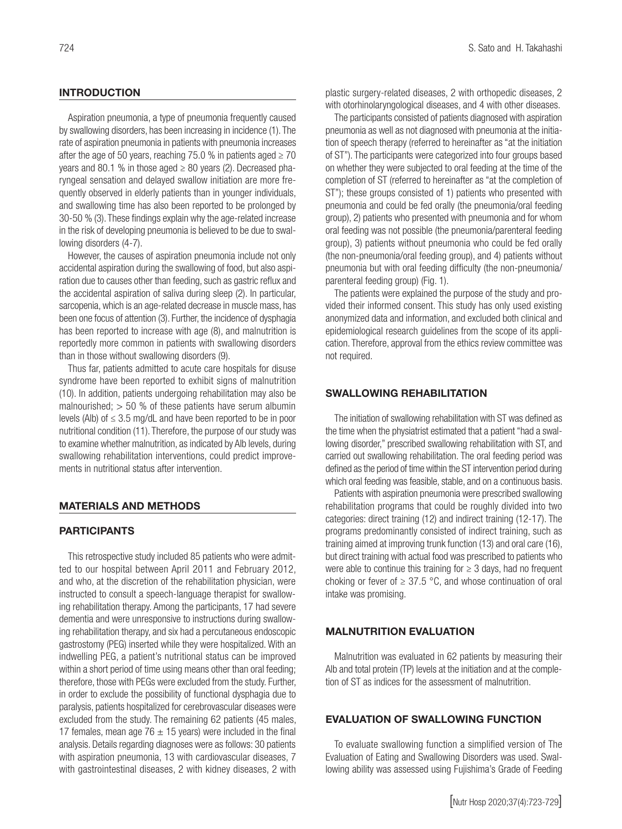# **INTRODUCTION**

Aspiration pneumonia, a type of pneumonia frequently caused by swallowing disorders, has been increasing in incidence (1). The rate of aspiration pneumonia in patients with pneumonia increases after the age of 50 years, reaching 75.0 % in patients aged  $\geq$  70 years and 80.1 % in those aged  $\geq$  80 years (2). Decreased pharyngeal sensation and delayed swallow initiation are more frequently observed in elderly patients than in younger individuals, and swallowing time has also been reported to be prolonged by 30-50 % (3). These findings explain why the age-related increase in the risk of developing pneumonia is believed to be due to swallowing disorders (4-7).

However, the causes of aspiration pneumonia include not only accidental aspiration during the swallowing of food, but also aspiration due to causes other than feeding, such as gastric reflux and the accidental aspiration of saliva during sleep (2). In particular, sarcopenia, which is an age-related decrease in muscle mass, has been one focus of attention (3). Further, the incidence of dysphagia has been reported to increase with age (8), and malnutrition is reportedly more common in patients with swallowing disorders than in those without swallowing disorders (9).

Thus far, patients admitted to acute care hospitals for disuse syndrome have been reported to exhibit signs of malnutrition (10). In addition, patients undergoing rehabilitation may also be malnourished;  $> 50$  % of these patients have serum albumin levels (Alb) of  $\leq$  3.5 mg/dL and have been reported to be in poor nutritional condition (11). Therefore, the purpose of our study was to examine whether malnutrition, as indicated by Alb levels, during swallowing rehabilitation interventions, could predict improvements in nutritional status after intervention.

### MATERIALS AND METHODS

### **PARTICIPANTS**

This retrospective study included 85 patients who were admitted to our hospital between April 2011 and February 2012, and who, at the discretion of the rehabilitation physician, were instructed to consult a speech-language therapist for swallowing rehabilitation therapy. Among the participants, 17 had severe dementia and were unresponsive to instructions during swallowing rehabilitation therapy, and six had a percutaneous endoscopic gastrostomy (PEG) inserted while they were hospitalized. With an indwelling PEG, a patient's nutritional status can be improved within a short period of time using means other than oral feeding; therefore, those with PEGs were excluded from the study. Further, in order to exclude the possibility of functional dysphagia due to paralysis, patients hospitalized for cerebrovascular diseases were excluded from the study. The remaining 62 patients (45 males, 17 females, mean age 76  $\pm$  15 years) were included in the final analysis. Details regarding diagnoses were as follows: 30 patients with aspiration pneumonia, 13 with cardiovascular diseases, 7 with gastrointestinal diseases, 2 with kidney diseases, 2 with

plastic surgery-related diseases, 2 with orthopedic diseases, 2 with otorhinolaryngological diseases, and 4 with other diseases.

The participants consisted of patients diagnosed with aspiration pneumonia as well as not diagnosed with pneumonia at the initiation of speech therapy (referred to hereinafter as "at the initiation of ST"). The participants were categorized into four groups based on whether they were subjected to oral feeding at the time of the completion of ST (referred to hereinafter as "at the completion of ST"); these groups consisted of 1) patients who presented with pneumonia and could be fed orally (the pneumonia/oral feeding group), 2) patients who presented with pneumonia and for whom oral feeding was not possible (the pneumonia/parenteral feeding group), 3) patients without pneumonia who could be fed orally (the non-pneumonia/oral feeding group), and 4) patients without pneumonia but with oral feeding difficulty (the non-pneumonia/ parenteral feeding group) (Fig. 1).

The patients were explained the purpose of the study and provided their informed consent. This study has only used existing anonymized data and information, and excluded both clinical and epidemiological research guidelines from the scope of its application. Therefore, approval from the ethics review committee was not required.

### SWALLOWING REHABILITATION

The initiation of swallowing rehabilitation with ST was defined as the time when the physiatrist estimated that a patient "had a swallowing disorder," prescribed swallowing rehabilitation with ST, and carried out swallowing rehabilitation. The oral feeding period was defined as the period of time within the ST intervention period during which oral feeding was feasible, stable, and on a continuous basis.

Patients with aspiration pneumonia were prescribed swallowing rehabilitation programs that could be roughly divided into two categories: direct training (12) and indirect training (12-17). The programs predominantly consisted of indirect training, such as training aimed at improving trunk function (13) and oral care (16), but direct training with actual food was prescribed to patients who were able to continue this training for  $\geq$  3 days, had no frequent choking or fever of  $\geq 37.5$  °C, and whose continuation of oral intake was promising.

### MALNUTRITION EVALUATION

Malnutrition was evaluated in 62 patients by measuring their Alb and total protein (TP) levels at the initiation and at the completion of ST as indices for the assessment of malnutrition.

#### EVALUATION OF SWALLOWING FUNCTION

To evaluate swallowing function a simplified version of The Evaluation of Eating and Swallowing Disorders was used. Swallowing ability was assessed using Fujishima's Grade of Feeding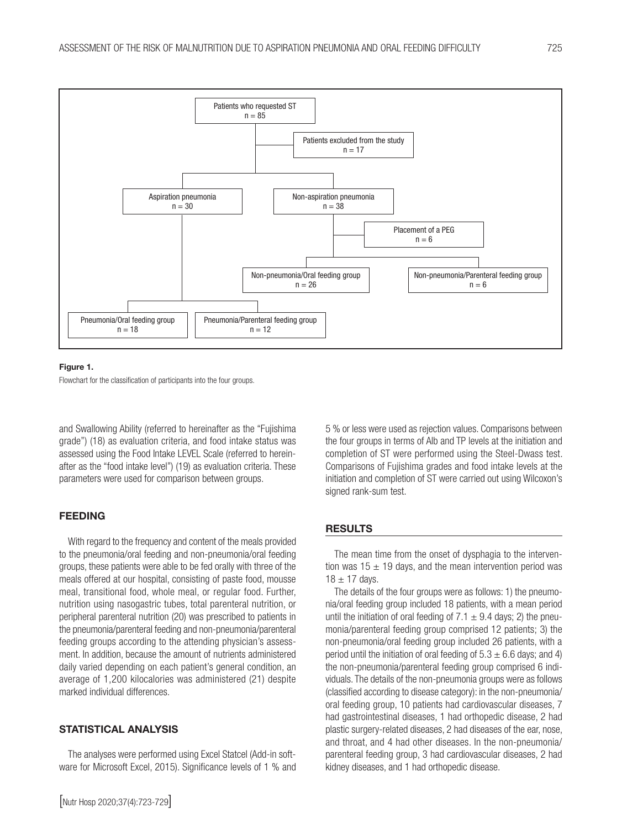

#### Figure 1.

Flowchart for the classification of participants into the four groups.

and Swallowing Ability (referred to hereinafter as the "Fujishima grade") (18) as evaluation criteria, and food intake status was assessed using the Food Intake LEVEL Scale (referred to hereinafter as the "food intake level") (19) as evaluation criteria. These parameters were used for comparison between groups.

# FEEDING

With regard to the frequency and content of the meals provided to the pneumonia/oral feeding and non-pneumonia/oral feeding groups, these patients were able to be fed orally with three of the meals offered at our hospital, consisting of paste food, mousse meal, transitional food, whole meal, or regular food. Further, nutrition using nasogastric tubes, total parenteral nutrition, or peripheral parenteral nutrition (20) was prescribed to patients in the pneumonia/parenteral feeding and non-pneumonia/parenteral feeding groups according to the attending physician's assessment. In addition, because the amount of nutrients administered daily varied depending on each patient's general condition, an average of 1,200 kilocalories was administered (21) despite marked individual differences.

# STATISTICAL ANALYSIS

The analyses were performed using Excel Statcel (Add-in software for Microsoft Excel, 2015). Significance levels of 1 % and 5 % or less were used as rejection values. Comparisons between the four groups in terms of Alb and TP levels at the initiation and completion of ST were performed using the Steel-Dwass test. Comparisons of Fujishima grades and food intake levels at the initiation and completion of ST were carried out using Wilcoxon's signed rank-sum test.

#### **RESULTS**

The mean time from the onset of dysphagia to the intervention was  $15 \pm 19$  days, and the mean intervention period was  $18 \pm 17$  days.

The details of the four groups were as follows: 1) the pneumonia/oral feeding group included 18 patients, with a mean period until the initiation of oral feeding of 7.1  $\pm$  9.4 days; 2) the pneumonia/parenteral feeding group comprised 12 patients; 3) the non-pneumonia/oral feeding group included 26 patients, with a period until the initiation of oral feeding of  $5.3 \pm 6.6$  days; and 4) the non-pneumonia/parenteral feeding group comprised 6 individuals. The details of the non-pneumonia groups were as follows (classified according to disease category): in the non-pneumonia/ oral feeding group, 10 patients had cardiovascular diseases, 7 had gastrointestinal diseases, 1 had orthopedic disease, 2 had plastic surgery-related diseases, 2 had diseases of the ear, nose, and throat, and 4 had other diseases. In the non-pneumonia/ parenteral feeding group, 3 had cardiovascular diseases, 2 had kidney diseases, and 1 had orthopedic disease.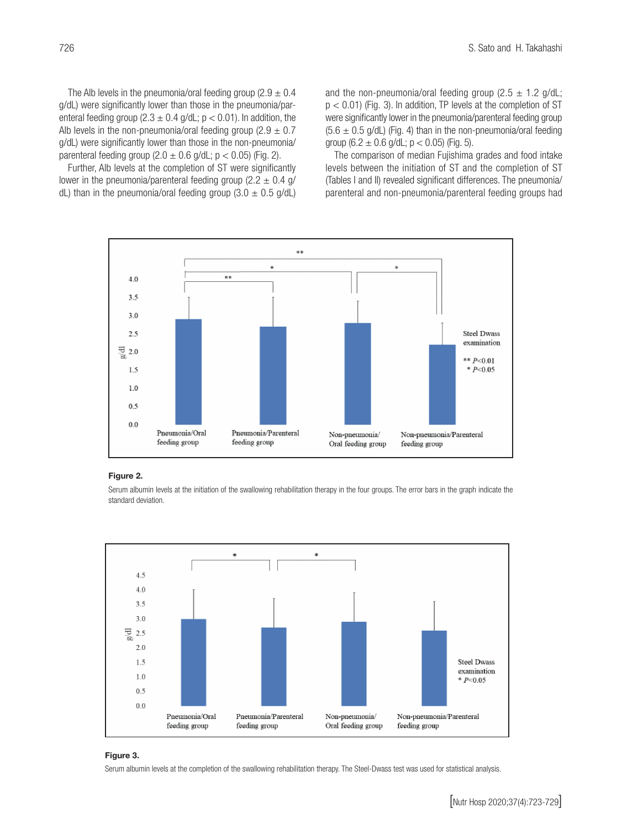The Alb levels in the pneumonia/oral feeding group (2.9  $\pm$  0.4 g/dL) were significantly lower than those in the pneumonia/parenteral feeding group (2.3  $\pm$  0.4 g/dL; p < 0.01). In addition, the Alb levels in the non-pneumonia/oral feeding group  $(2.9 \pm 0.7)$ g/dL) were significantly lower than those in the non-pneumonia/ parenteral feeding group  $(2.0 \pm 0.6 \text{ g/dL}; p < 0.05)$  (Fig. 2).

Further, Alb levels at the completion of ST were significantly lower in the pneumonia/parenteral feeding group  $(2.2 \pm 0.4 \text{ g/m})$ dL) than in the pneumonia/oral feeding group  $(3.0 \pm 0.5 \text{ g/dL})$  and the non-pneumonia/oral feeding group (2.5  $\pm$  1.2 g/dL;  $p < 0.01$ ) (Fig. 3). In addition, TP levels at the completion of ST were significantly lower in the pneumonia/parenteral feeding group  $(5.6 \pm 0.5 \text{ g/dL})$  (Fig. 4) than in the non-pneumonia/oral feeding group (6.2  $\pm$  0.6 g/dL; p < 0.05) (Fig. 5).

The comparison of median Fujishima grades and food intake levels between the initiation of ST and the completion of ST (Tables I and II) revealed significant differences. The pneumonia/ parenteral and non-pneumonia/parenteral feeding groups had



#### Figure 2.

--<br>Serum albumin levels at the initiation of the swallowing rehabilitation therapy in the four groups. The error bars in the graph indicate the standard deviation.



#### Figure 3.

Serum albumin levels at the completion of the swallowing rehabilitation therapy. The Steel-Dwass test was used for statistical analysis.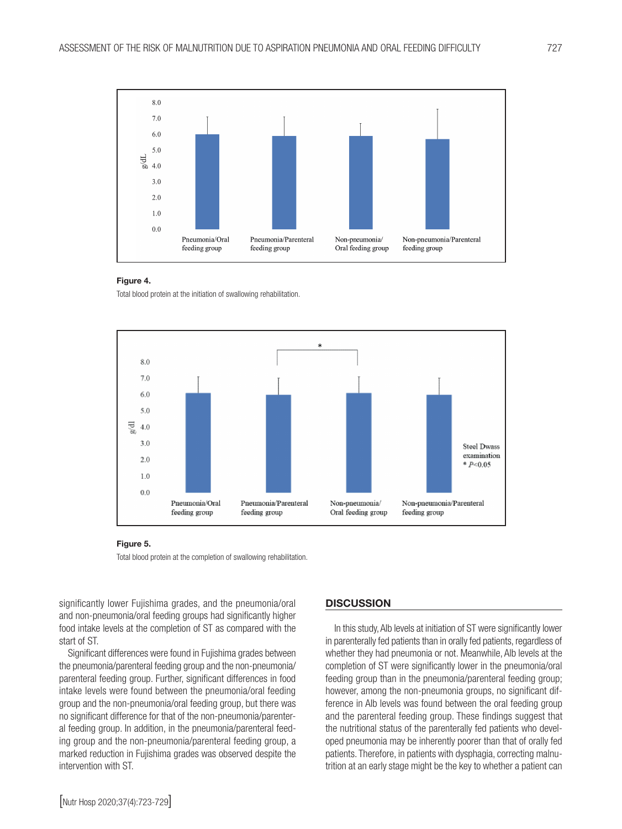

Total blood protein at the initiation of swallowing rehabilitation.



Total blood protein at the completion of swallowing rehabilitation.

significantly lower Fujishima grades, and the pneumonia/oral and non-pneumonia/oral feeding groups had significantly higher food intake levels at the completion of ST as compared with the start of ST.

Significant differences were found in Fujishima grades between the pneumonia/parenteral feeding group and the non-pneumonia/ parenteral feeding group. Further, significant differences in food intake levels were found between the pneumonia/oral feeding group and the non-pneumonia/oral feeding group, but there was no significant difference for that of the non-pneumonia/parenteral feeding group. In addition, in the pneumonia/parenteral feeding group and the non-pneumonia/parenteral feeding group, a marked reduction in Fujishima grades was observed despite the intervention with ST.

#### **DISCUSSION**

In this study, Alb levels at initiation of ST were significantly lower in parenterally fed patients than in orally fed patients, regardless of whether they had pneumonia or not. Meanwhile, Alb levels at the completion of ST were significantly lower in the pneumonia/oral feeding group than in the pneumonia/parenteral feeding group; however, among the non-pneumonia groups, no significant difference in Alb levels was found between the oral feeding group and the parenteral feeding group. These findings suggest that the nutritional status of the parenterally fed patients who developed pneumonia may be inherently poorer than that of orally fed patients. Therefore, in patients with dysphagia, correcting malnutrition at an early stage might be the key to whether a patient can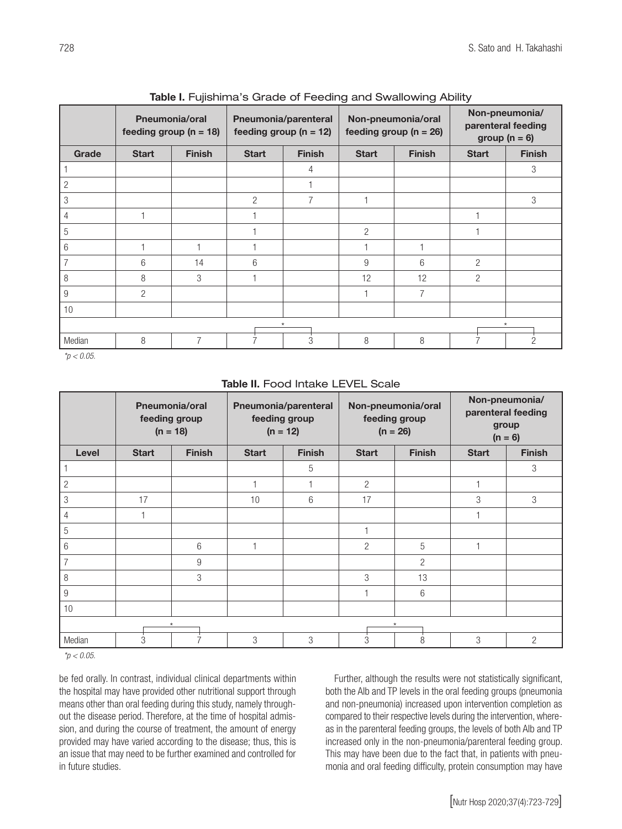|                    | <b>Pneumonia/oral</b><br>feeding group ( $n = 18$ ) |                | Pneumonia/parenteral<br>feeding group ( $n = 12$ ) |               | Non-pneumonia/oral<br>feeding group ( $n = 26$ ) |               | Non-pneumonia/<br>parenteral feeding<br>group ( $n = 6$ ) |               |  |  |  |
|--------------------|-----------------------------------------------------|----------------|----------------------------------------------------|---------------|--------------------------------------------------|---------------|-----------------------------------------------------------|---------------|--|--|--|
| Grade              | <b>Start</b>                                        | <b>Finish</b>  | <b>Start</b>                                       | <b>Finish</b> | <b>Start</b>                                     | <b>Finish</b> | <b>Start</b>                                              | <b>Finish</b> |  |  |  |
|                    |                                                     |                |                                                    | 4             |                                                  |               |                                                           | 3             |  |  |  |
| 2                  |                                                     |                |                                                    |               |                                                  |               |                                                           |               |  |  |  |
| 3                  |                                                     |                | $\overline{2}$                                     | 7             |                                                  |               |                                                           | 3             |  |  |  |
|                    |                                                     |                |                                                    |               |                                                  |               |                                                           |               |  |  |  |
| 5                  |                                                     |                |                                                    |               | 2                                                |               |                                                           |               |  |  |  |
| 6                  |                                                     |                |                                                    |               |                                                  |               |                                                           |               |  |  |  |
| $\overline{7}$     | 6                                                   | 14             | 6                                                  |               | 9                                                | 6             | $\overline{2}$                                            |               |  |  |  |
| 8                  | 8                                                   | 3              |                                                    |               | 12                                               | 12            | 2                                                         |               |  |  |  |
| 9                  | 2                                                   |                |                                                    |               |                                                  | 7             |                                                           |               |  |  |  |
| 10                 |                                                     |                |                                                    |               |                                                  |               |                                                           |               |  |  |  |
| $\star$<br>$\star$ |                                                     |                |                                                    |               |                                                  |               |                                                           |               |  |  |  |
| Median             | 8                                                   | $\overline{7}$ |                                                    | 3             | 8                                                | 8             |                                                           | 2             |  |  |  |

Table I. Fujishima's Grade of Feeding and Swallowing Ability

*\*p < 0.05.*

|                    | <b>Pneumonia/oral</b><br>feeding group<br>$(n = 18)$ |               | Pneumonia/parenteral<br>feeding group<br>$(n = 12)$ |               | Non-pneumonia/oral<br>feeding group<br>$(n = 26)$ |                | Non-pneumonia/<br>parenteral feeding<br>group<br>$(n = 6)$ |                |  |  |  |
|--------------------|------------------------------------------------------|---------------|-----------------------------------------------------|---------------|---------------------------------------------------|----------------|------------------------------------------------------------|----------------|--|--|--|
| Level              | <b>Start</b>                                         | <b>Finish</b> | <b>Start</b>                                        | <b>Finish</b> | <b>Start</b>                                      | <b>Finish</b>  | <b>Start</b>                                               | <b>Finish</b>  |  |  |  |
| 1                  |                                                      |               |                                                     | 5             |                                                   |                |                                                            | 3              |  |  |  |
| $\overline{c}$     |                                                      |               |                                                     |               | $\overline{2}$                                    |                |                                                            |                |  |  |  |
| 3                  | 17                                                   |               | 10                                                  | 6             | 17                                                |                | 3                                                          | 3              |  |  |  |
| $\overline{4}$     |                                                      |               |                                                     |               |                                                   |                |                                                            |                |  |  |  |
| 5                  |                                                      |               |                                                     |               |                                                   |                |                                                            |                |  |  |  |
| 6                  |                                                      | 6             |                                                     |               | $\overline{2}$                                    | 5              |                                                            |                |  |  |  |
| $\overline{7}$     |                                                      | 9             |                                                     |               |                                                   | $\overline{2}$ |                                                            |                |  |  |  |
| 8                  |                                                      | 3             |                                                     |               | 3                                                 | 13             |                                                            |                |  |  |  |
| $\boldsymbol{9}$   |                                                      |               |                                                     |               |                                                   | 6              |                                                            |                |  |  |  |
| 10                 |                                                      |               |                                                     |               |                                                   |                |                                                            |                |  |  |  |
| $\star$<br>$\star$ |                                                      |               |                                                     |               |                                                   |                |                                                            |                |  |  |  |
| Median             | 3                                                    |               | 3                                                   | 3             | 3                                                 | 8              | 3                                                          | $\overline{2}$ |  |  |  |

# Table II. Food Intake LEVEL Scale

*\*p < 0.05.*

be fed orally. In contrast, individual clinical departments within the hospital may have provided other nutritional support through means other than oral feeding during this study, namely throughout the disease period. Therefore, at the time of hospital admission, and during the course of treatment, the amount of energy provided may have varied according to the disease; thus, this is an issue that may need to be further examined and controlled for in future studies.

Further, although the results were not statistically significant, both the Alb and TP levels in the oral feeding groups (pneumonia and non-pneumonia) increased upon intervention completion as compared to their respective levels during the intervention, whereas in the parenteral feeding groups, the levels of both Alb and TP increased only in the non-pneumonia/parenteral feeding group. This may have been due to the fact that, in patients with pneumonia and oral feeding difficulty, protein consumption may have